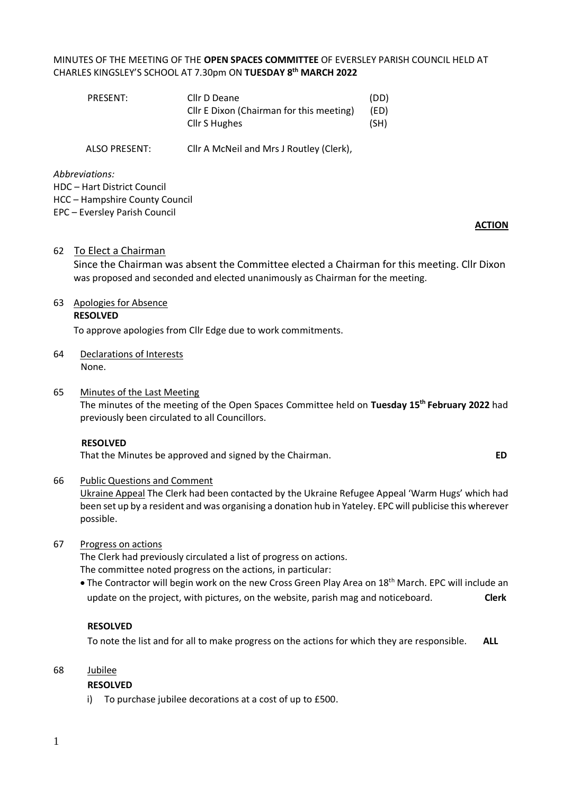# MINUTES OF THE MEETING OF THE **OPEN SPACES COMMITTEE** OF EVERSLEY PARISH COUNCIL HELD AT CHARLES KINGSLEY'S SCHOOL AT 7.30pm ON **TUESDAY 8 th MARCH 2022**

| PRESENT: | Cllr D Deane                             | (DD) |
|----------|------------------------------------------|------|
|          | Cllr E Dixon (Chairman for this meeting) | (ED) |
|          | Cllr S Hughes                            | (SH) |
|          |                                          |      |

ALSO PRESENT: Cllr A McNeil and Mrs J Routley (Clerk),

*Abbreviations:*  HDC – Hart District Council HCC – Hampshire County Council

EPC – Eversley Parish Council

#### **ACTION**

#### 62 To Elect a Chairman

Since the Chairman was absent the Committee elected a Chairman for this meeting. Cllr Dixon was proposed and seconded and elected unanimously as Chairman for the meeting.

# 63 Apologies for Absence

# **RESOLVED**

To approve apologies from Cllr Edge due to work commitments.

64 Declarations of Interests None.

#### 65 Minutes of the Last Meeting

The minutes of the meeting of the Open Spaces Committee held on **Tuesday 15th February 2022** had previously been circulated to all Councillors.

#### **RESOLVED**

That the Minutes be approved and signed by the Chairman.**ED**

#### 66 Public Questions and Comment

Ukraine Appeal The Clerk had been contacted by the Ukraine Refugee Appeal 'Warm Hugs' which had been set up by a resident and was organising a donation hub in Yateley. EPC will publicise this wherever possible.

67 Progress on actions

The Clerk had previously circulated a list of progress on actions. The committee noted progress on the actions, in particular:

• The Contractor will begin work on the new Cross Green Play Area on 18<sup>th</sup> March. EPC will include an update on the project, with pictures, on the website, parish mag and noticeboard. **Clerk**

# **RESOLVED**

To note the list and for all to make progress on the actions for which they are responsible. **ALL**

#### 68 Jubilee

# **RESOLVED**

i) To purchase jubilee decorations at a cost of up to £500.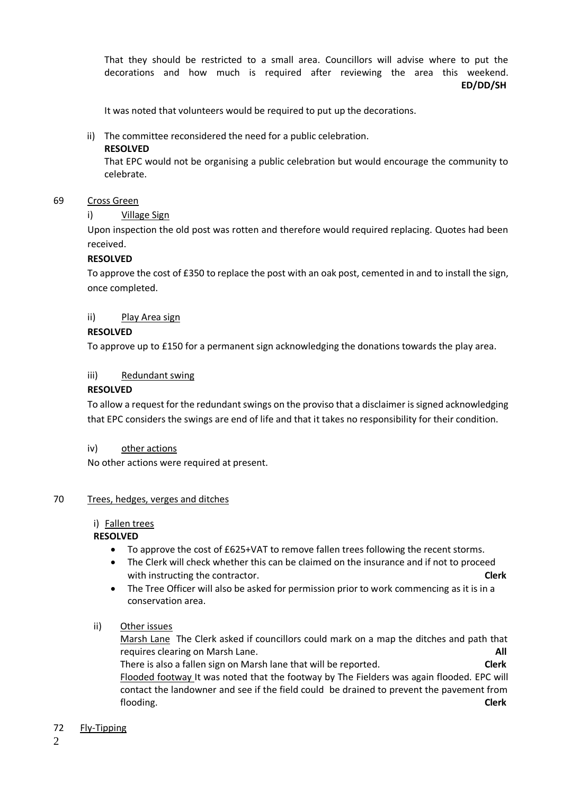That they should be restricted to a small area. Councillors will advise where to put the decorations and how much is required after reviewing the area this weekend. **ED/DD/SH**

It was noted that volunteers would be required to put up the decorations.

ii) The committee reconsidered the need for a public celebration.

#### **RESOLVED**

That EPC would not be organising a public celebration but would encourage the community to celebrate.

#### 69 Cross Green

# i) Village Sign

Upon inspection the old post was rotten and therefore would required replacing. Quotes had been received.

#### **RESOLVED**

To approve the cost of £350 to replace the post with an oak post, cemented in and to install the sign, once completed.

#### ii) Play Area sign

#### **RESOLVED**

To approve up to £150 for a permanent sign acknowledging the donations towards the play area.

#### iii) Redundant swing

#### **RESOLVED**

To allow a request for the redundant swings on the proviso that a disclaimer is signed acknowledging that EPC considers the swings are end of life and that it takes no responsibility for their condition.

iv) other actions

No other actions were required at present.

#### 70 Trees, hedges, verges and ditches

# i) Fallen trees

# **RESOLVED**

- To approve the cost of £625+VAT to remove fallen trees following the recent storms.
- The Clerk will check whether this can be claimed on the insurance and if not to proceed with instructing the contractor. **Clerk**
- The Tree Officer will also be asked for permission prior to work commencing as it is in a conservation area.
- ii) Other issues

Marsh Lane The Clerk asked if councillors could mark on a map the ditches and path that requires clearing on Marsh Lane. **All** There is also a fallen sign on Marsh lane that will be reported. **Clerk** Flooded footway It was noted that the footway by The Fielders was again flooded. EPC will contact the landowner and see if the field could be drained to prevent the pavement from flooding. **Clerk**

#### 72 Fly-Tipping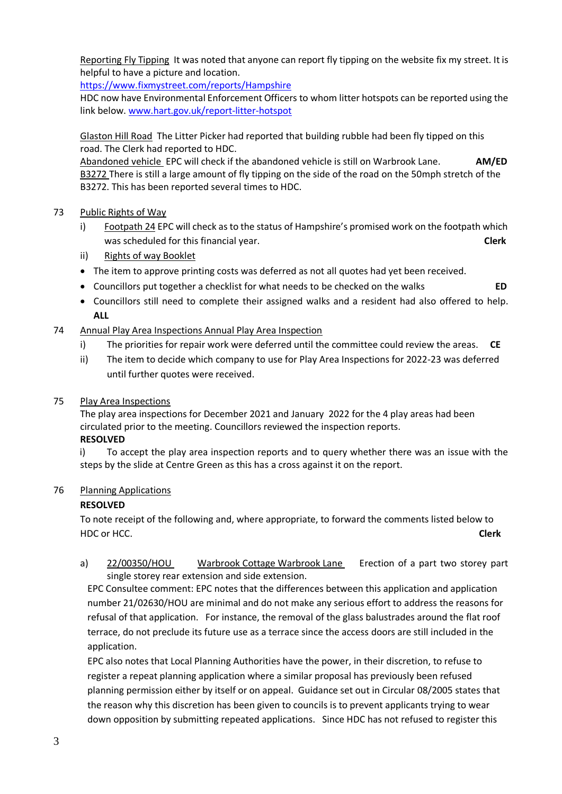Reporting Fly Tipping It was noted that anyone can report fly tipping on the website fix my street. It is helpful to have a picture and location.

<https://www.fixmystreet.com/reports/Hampshire>

HDC now have Environmental Enforcement Officers to whom litter hotspots can be reported using the link below. [www.hart.gov.uk/report-litter-hotspot](http://www.hart.gov.uk/report-litter-hotspot)

Glaston Hill Road The Litter Picker had reported that building rubble had been fly tipped on this road. The Clerk had reported to HDC.

Abandoned vehicle EPC will check if the abandoned vehicle is still on Warbrook Lane. **AM/ED** B3272 There is still a large amount of fly tipping on the side of the road on the 50mph stretch of the B3272. This has been reported several times to HDC.

# 73 Public Rights of Way

- i) Footpath 24 EPC will check as to the status of Hampshire's promised work on the footpath which was scheduled for this financial year. **Clerk** and the scheduled for this financial year.
- ii) Rights of way Booklet
- The item to approve printing costs was deferred as not all quotes had yet been received.
- Councillors put together a checklist for what needs to be checked on the walks **ED**
- Councillors still need to complete their assigned walks and a resident had also offered to help. **ALL**
- 74 Annual Play Area Inspections Annual Play Area Inspection
	- i) The priorities for repair work were deferred until the committee could review the areas. **CE**
	- ii) The item to decide which company to use for Play Area Inspections for 2022-23 was deferred until further quotes were received.
- 75 Play Area Inspections

The play area inspections for December 2021 and January 2022 for the 4 play areas had been circulated prior to the meeting. Councillors reviewed the inspection reports. **RESOLVED**

i) To accept the play area inspection reports and to query whether there was an issue with the steps by the slide at Centre Green as this has a cross against it on the report.

# 76 Planning Applications

# **RESOLVED**

To note receipt of the following and, where appropriate, to forward the comments listed below to HDC or HCC. **Clerk**

a) 22/00350/HOU Warbrook Cottage Warbrook Lane Erection of a part two storey part single storey rear extension and side extension.

EPC Consultee comment: EPC notes that the differences between this application and application number 21/02630/HOU are minimal and do not make any serious effort to address the reasons for refusal of that application. For instance, the removal of the glass balustrades around the flat roof terrace, do not preclude its future use as a terrace since the access doors are still included in the application.

EPC also notes that Local Planning Authorities have the power, in their discretion, to refuse to register a repeat planning application where a similar proposal has previously been refused planning permission either by itself or on appeal. Guidance set out in Circular 08/2005 states that the reason why this discretion has been given to councils is to prevent applicants trying to wear down opposition by submitting repeated applications. Since HDC has not refused to register this